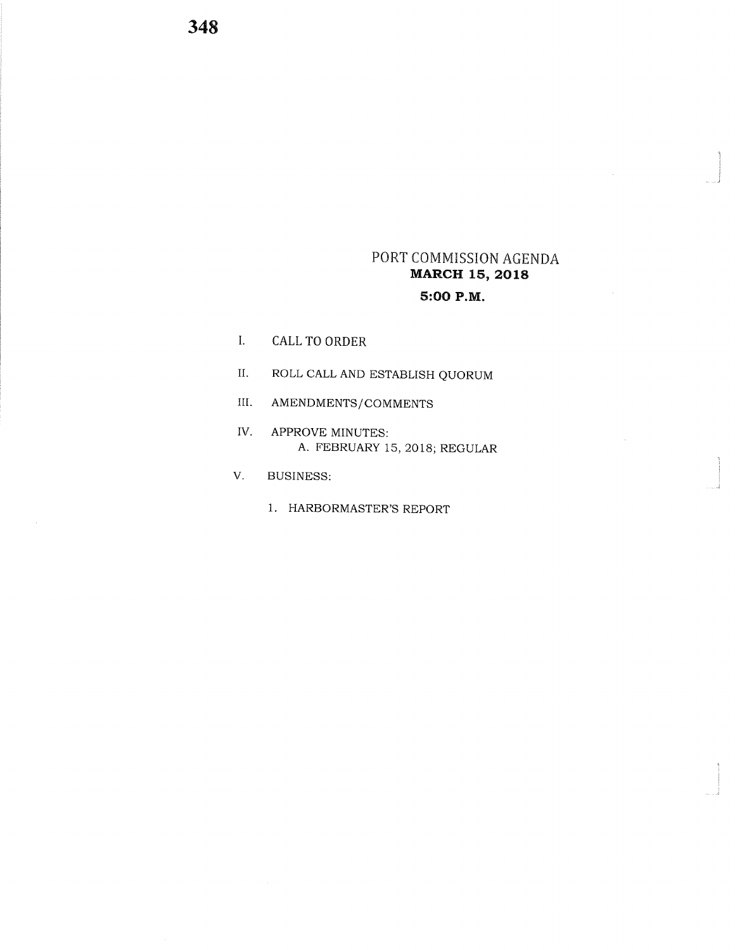## PORT COMMISSION AGENDA MARCH 15, 2018 5:OO P.M.

i

\_.!

I<br>I

- I. CALL TO ORDER
- II. ROLLCALLAND ESTABLISH QUORUM
- III. AMENDMENTS/COMMENTS
- IV. APPROVE MINUTES: A. FEBRUARY 15,2018; REGULAR
- V. BUSINESS:
	- 1. HARBORMASTER'S REPORT

348